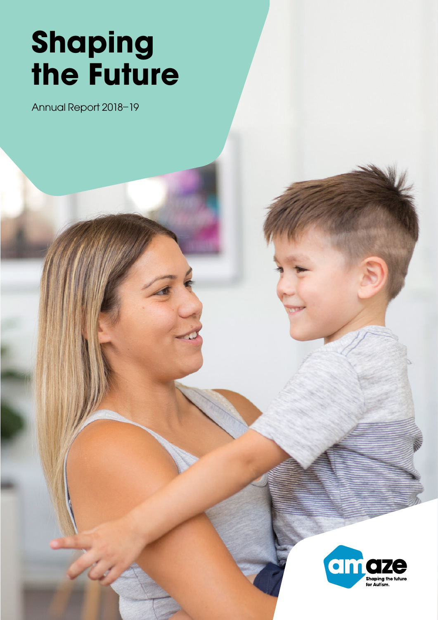# Shaping the Future

Annual Report 2018–19

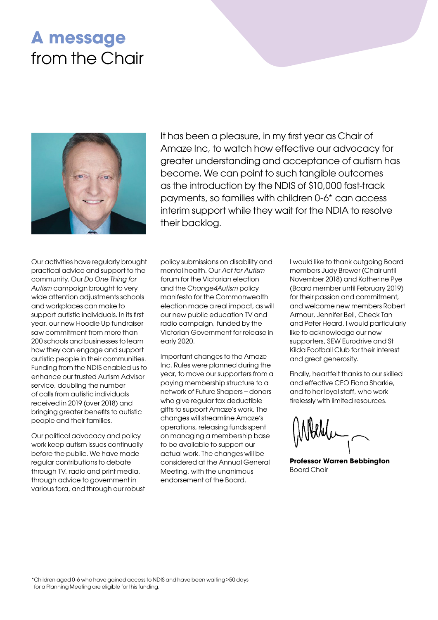### A message from the Chair



It has been a pleasure, in my first year as Chair of Amaze Inc, to watch how effective our advocacy for greater understanding and acceptance of autism has become. We can point to such tangible outcomes as the introduction by the NDIS of \$10,000 fast-track payments, so families with children 0-6\* can access interim support while they wait for the NDIA to resolve their backlog.

Our activities have regularly brought practical advice and support to the community. Our Do One Thing for Autism campaign brought to very wide attention adjustments schools and workplaces can make to support autistic individuals. In its first year, our new Hoodie Up fundraiser saw commitment from more than 200 schools and businesses to learn how they can engage and support autistic people in their communities. Funding from the NDIS enabled us to enhance our trusted Autism Advisor service, doubling the number of calls from autistic individuals received in 2019 (over 2018) and bringing greater benefits to autistic people and their families.

Our political advocacy and policy work keep autism issues continually before the public. We have made regular contributions to debate through TV, radio and print media, through advice to government in various fora, and through our robust

policy submissions on disability and mental health. Our Act for Autism forum for the Victorian election and the Change4Autism policy manifesto for the Commonwealth election made a real impact, as will our new public education TV and radio campaign, funded by the Victorian Government for release in early 2020.

Important changes to the Amaze Inc. Rules were planned during the year, to move our supporters from a paying membership structure to a network of Future Shapers – donors who give regular tax deductible gifts to support Amaze's work. The changes will streamline Amaze's operations, releasing funds spent on managing a membership base to be available to support our actual work. The changes will be considered at the Annual General Meeting, with the unanimous endorsement of the Board.

I would like to thank outgoing Board members Judy Brewer (Chair until November 2018) and Katherine Pye (Board member until February 2019) for their passion and commitment, and welcome new members Robert Armour, Jennifer Bell, Check Tan and Peter Heard. I would particularly like to acknowledge our new supporters, SEW Eurodrive and St Kilda Football Club for their interest and great generosity.

Finally, heartfelt thanks to our skilled and effective CEO Fiona Sharkie, and to her loyal staff, who work tirelessly with limited resources.

Professor Warren Bebbington Board Chair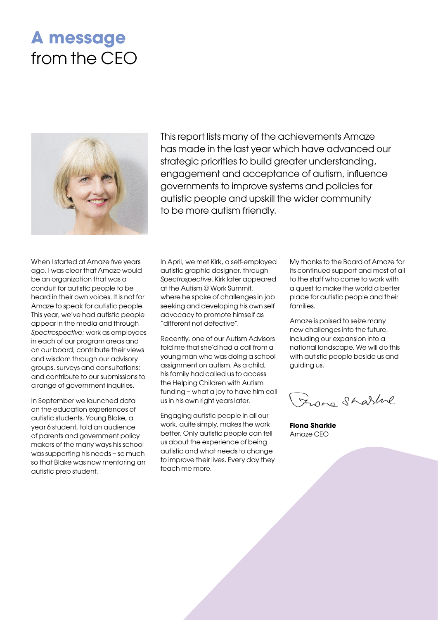## A message from the CEO



This report lists many of the achievements Amaze has made in the last year which have advanced our strategic priorities to build greater understanding, engagement and acceptance of autism, influence governments to improve systems and policies for autistic people and upskill the wider community to be more autism friendly.

When I started at Amaze five years ago, I was clear that Amaze would be an organization that was a conduit for autistic people to be heard in their own voices. It is not for Amaze to speak for autistic people. This year, we've had autistic people appear in the media and through Spectrospective; work as employees in each of our program areas and on our board; contribute their views and wisdom through our advisory groups, surveys and consultations; and contribute to our submissions to a range of government inquiries.

In September we launched data on the education experiences of autistic students. Young Blake, a year 6 student, told an audience of parents and government policy makers of the many ways his school was supporting his needs – so much so that Blake was now mentoring an autistic prep student.

In April, we met Kirk, a self-employed autistic graphic designer, through Spectrospective. Kirk later appeared at the Autism @ Work Summit, where he spoke of challenges in job seeking and developing his own self advocacy to promote himself as "different not defective".

Recently, one of our Autism Advisors told me that she'd had a call from a young man who was doing a school assignment on autism. As a child, his family had called us to access the Helping Children with Autism funding – what a joy to have him call us in his own right years later.

Engaging autistic people in all our work, quite simply, makes the work better. Only autistic people can tell us about the experience of being autistic and what needs to change to improve their lives. Every day they teach me more.

My thanks to the Board of Amaze for its continued support and most of all to the staff who come to work with a quest to make the world a better place for autistic people and their families.

Amaze is poised to seize many new challenges into the future, including our expansion into a national landscape. We will do this with autistic people beside us and guiding us.

Franc Sharline

Fiona Sharkie Amaze CEO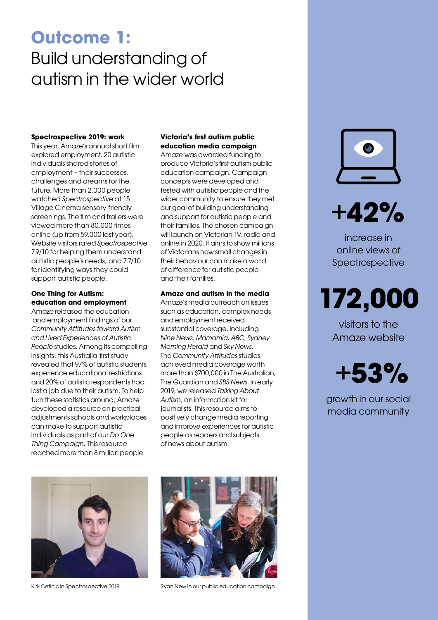## Outcome 1: Build understanding of autism in the wider world

#### Spectrospective 2019: work

This year, Amaze's annual short film explored employment. 20 autistic individuals shared stories of employment – their successes, challenges and dreams for the future. More than 2,000 people watched Spectrospective at 15 Village Cinema sensory-friendly screenings. The film and trailers were viewed more than 80,000 times online (up from 59,000 last year). Website visitors rated Spectrospective 7.9/10 for helping them understand autistic people's needs, and 7.7/10 for identifying ways they could support autistic people.

### One Thing for Autism: education and employment

Amaze released the education and employment findings of our Community Attitudes toward Autism and Lived Experiences of Autistic People studies. Among its compelling insights, this Australia-first study revealed that 97% of autistic students experience educational restrictions and 20% of autistic respondents had lost a job due to their autism. To help turn these statistics around, Amaze developed a resource on practical adjustments schools and workplaces can make to support autistic individuals as part of our Do One Thing Campaign. This resource reached more than 8 million people.

### Victoria's first autism public education media campaign

Amaze was awarded funding to produce Victoria's first autism public education campaign. Campaign concepts were developed and tested with autistic people and the wider community to ensure they met our goal of building understanding and support for autistic people and their families. The chosen campaign will launch on Victorian TV, radio and online in 2020. It aims to show millions of Victorians how small changes in their behaviour can make a world of difference for autistic people and their families.

### Amaze and autism in the media

Amaze's media outreach on issues such as education, complex needs and employment received substantial coverage, including Nine News, Mamamia, ABC, Sydney Morning Herald and Sky News. The Community Attitudes studies achieved media coverage worth more than \$700,000 in The Australian, The Guardian and SBS News. In early 2019, we released Talking About Autism, an information kit for journalists. This resource aims to positively change media reporting and improve experiences for autistic people as readers and subjects of news about autism.



 $+42%$ 

increase in online views of Spectrospective

## 172,000

visitors to the Amaze website



growth in our social media community





Kirk Cetinic in Spectrospective 2019 Ryan New in our public education campaign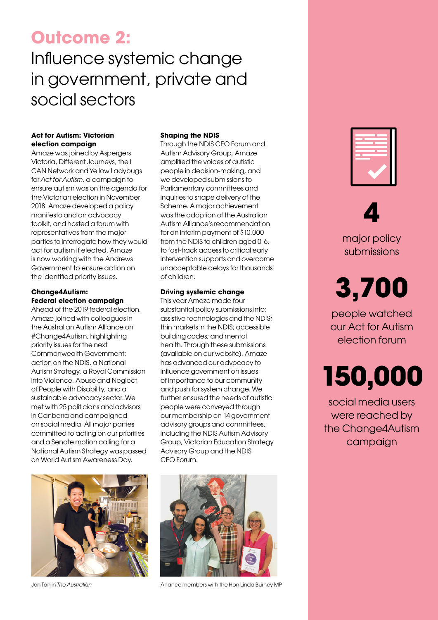### Outcome 2:

## Influence systemic change in government, private and social sectors

### Act for Autism: Victorian election campaign

Amaze was joined by Aspergers Victoria, Different Journeys, the I CAN Network and Yellow Ladybugs for Act for Autism, a campaign to ensure autism was on the agenda for the Victorian election in November 2018. Amaze developed a policy manifesto and an advocacy toolkit, and hosted a forum with representatives from the major parties to interrogate how they would act for autism if elected. Amaze is now working with the Andrews Government to ensure action on the identified priority issues.

### Change4Autism: Federal election campaign

Ahead of the 2019 federal election, Amaze joined with colleagues in the Australian Autism Alliance on #Change4Autism, highlighting priority issues for the next Commonwealth Government: action on the NDIS, a National Autism Strategy, a Royal Commission into Violence, Abuse and Neglect of People with Disability, and a sustainable advocacy sector. We met with 25 politicians and advisors in Canberra and campaigned on social media. All major parties committed to acting on our priorities and a Senate motion calling for a National Autism Strategy was passed on World Autism Awareness Day.



#### Shaping the NDIS

Through the NDIS CEO Forum and Autism Advisory Group, Amaze amplified the voices of autistic people in decision-making, and we developed submissions to Parliamentary committees and inquiries to shape delivery of the Scheme. A major achievement was the adoption of the Australian Autism Alliance's recommendation for an interim payment of \$10,000 from the NDIS to children aged 0-6, to fast-track access to critical early intervention supports and overcome unacceptable delays for thousands of children.

### Driving systemic change

This year Amaze made four substantial policy submissions into: assistive technologies and the NDIS; thin markets in the NDIS; accessible building codes; and mental health. Through these submissions (available on our website), Amaze has advanced our advocacy to influence government on issues of importance to our community and push for system change. We further ensured the needs of autistic people were conveyed through our membership on 14 government advisory groups and committees, including the NDIS Autism Advisory Group, Victorian Education Strategy Advisory Group and the NDIS CEO Forum.



Jon Tan in The Australian **Alliance members with the Hon Linda Burney MP** 



### 4 major policy submissions

## 3,700

people watched our Act for Autism election forum

## 150,000

social media users were reached by the Change4Autism campaign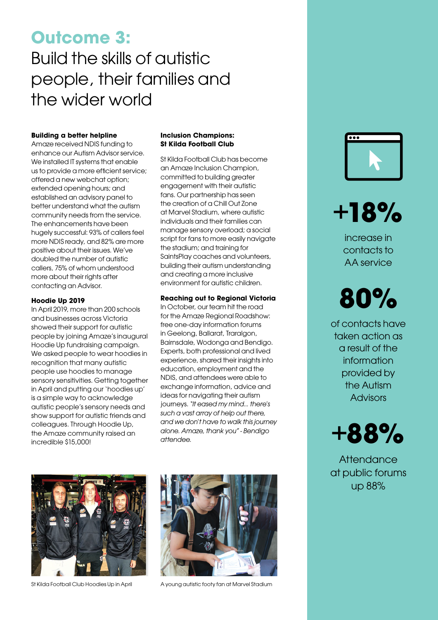## Outcome 3: Build the skills of autistic people, their families and the wider world

### Building a better helpline

Amaze received NDIS funding to enhance our Autism Advisor service. We installed IT systems that enable us to provide a more efficient service; offered a new webchat option; extended opening hours; and established an advisory panel to better understand what the autism community needs from the service. The enhancements have been hugely successful: 93% of callers feel more NDIS ready, and 82% are more positive about their issues. We've doubled the number of autistic callers, 75% of whom understood more about their rights after contacting an Advisor.

### Hoodie Up 2019

In April 2019, more than 200 schools and businesses across Victoria showed their support for autistic people by joining Amaze's inaugural Hoodie Up fundraising campaign. We asked people to wear hoodies in recognition that many autistic people use hoodies to manage sensory sensitivities. Getting together in April and putting our 'hoodies up' is a simple way to acknowledge autistic people's sensory needs and show support for autistic friends and colleagues. Through Hoodie Up, the Amaze community raised an incredible \$15,000!

### Inclusion Champions: St Kilda Football Club

St Kilda Football Club has become an Amaze Inclusion Champion, committed to building greater engagement with their autistic fans. Our partnership has seen the creation of a Chill Out Zone at Marvel Stadium, where autistic individuals and their families can manage sensory overload; a social script for fans to more easily navigate the stadium; and training for SaintsPlay coaches and volunteers, building their autism understanding and creating a more inclusive environment for autistic children.

### Reaching out to Regional Victoria

In October, our team hit the road for the Amaze Regional Roadshow: free one-day information forums in Geelong, Ballarat, Traralgon, Bairnsdale, Wodonga and Bendigo. Experts, both professional and lived experience, shared their insights into education, employment and the NDIS, and attendees were able to exchange information, advice and ideas for navigating their autism journeys. "It eased my mind... there's such a vast array of help out there, and we don't have to walk this journey alone. Amaze, thank you" - Bendigo attendee.





St Kilda Football Club Hoodies Up in April A young autistic footy fan at Marvel Stadium



+18%

increase in contacts to AA service

## 80%

of contacts have taken action as a result of the information provided by the Autism **Advisors** 



**Attendance** at public forums up 88%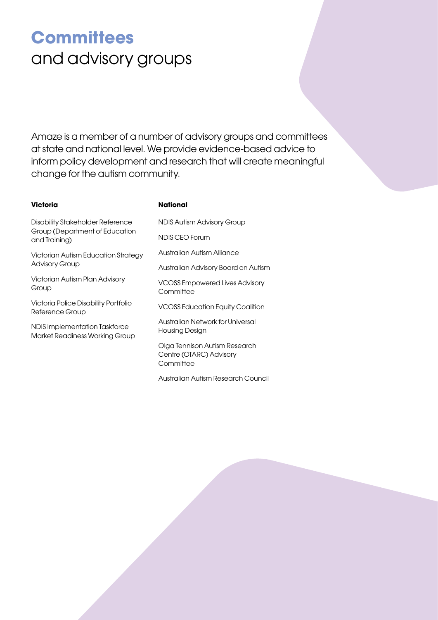## **Committees** and advisory groups

Amaze is a member of a number of advisory groups and committees at state and national level. We provide evidence-based advice to inform policy development and research that will create meaningful change for the autism community.

### **Victoria**

### **National**

Disability Stakeholder Reference Group (Department of Education and Training)

Victorian Autism Education Strategy Advisory Group

Victorian Autism Plan Advisory Group

Victoria Police Disability Portfolio Reference Group

NDIS Implementation Taskforce Market Readiness Working Group NDIS Autism Advisory Group

NDIS CEO Forum

Australian Autism Alliance

Australian Advisory Board on Autism

VCOSS Empowered Lives Advisory **Committee** 

VCOSS Education Equity Coalition

Australian Network for Universal Housing Design

Olga Tennison Autism Research Centre (OTARC) Advisory **Committee** 

Australian Autism Research Council